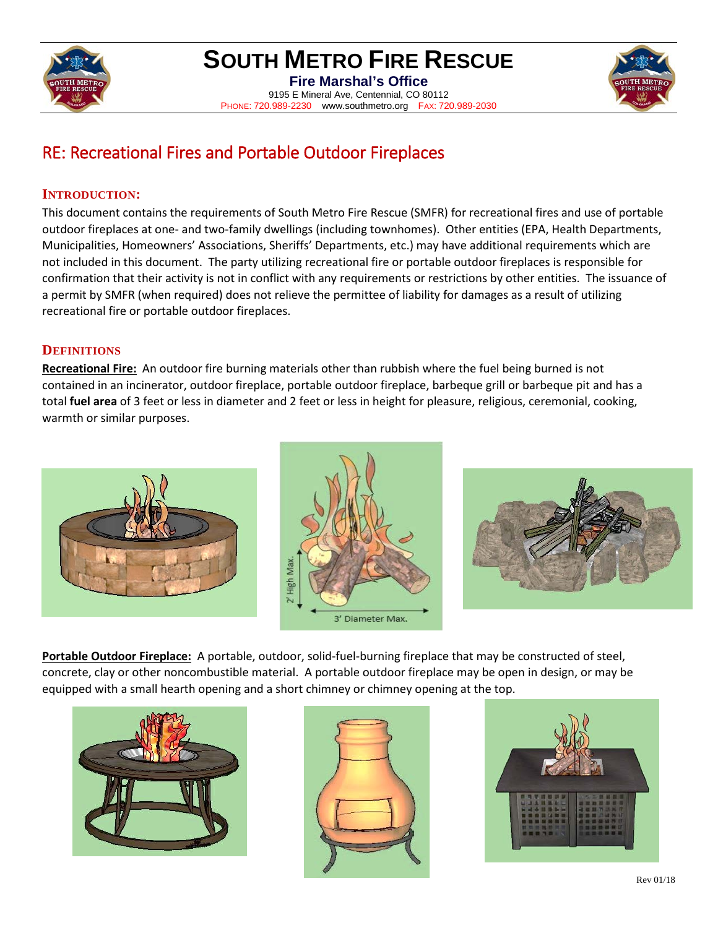

### **SOUTH METRO FIRE RESCUE**

**Fire Marshal's Office** 9195 E Mineral Ave, Centennial, CO 80112 PHONE: 720.989-2230 www.southmetro.org FAX: 720.989-2030



### RE: Recreational Fires and Portable Outdoor Fireplaces

#### **INTRODUCTION:**

This document contains the requirements of South Metro Fire Rescue (SMFR) for recreational fires and use of portable outdoor fireplaces at one- and two-family dwellings (including townhomes). Other entities (EPA, Health Departments, Municipalities, Homeowners' Associations, Sheriffs' Departments, etc.) may have additional requirements which are not included in this document. The party utilizing recreational fire or portable outdoor fireplaces is responsible for confirmation that their activity is not in conflict with any requirements or restrictions by other entities. The issuance of a permit by SMFR (when required) does not relieve the permittee of liability for damages as a result of utilizing recreational fire or portable outdoor fireplaces.

#### **DEFINITIONS**

**Recreational Fire:** An outdoor fire burning materials other than rubbish where the fuel being burned is not contained in an incinerator, outdoor fireplace, portable outdoor fireplace, barbeque grill or barbeque pit and has a total **fuel area** of 3 feet or less in diameter and 2 feet or less in height for pleasure, religious, ceremonial, cooking, warmth or similar purposes.







**Portable Outdoor Fireplace:** A portable, outdoor, solid-fuel-burning fireplace that may be constructed of steel, concrete, clay or other noncombustible material. A portable outdoor fireplace may be open in design, or may be equipped with a small hearth opening and a short chimney or chimney opening at the top.





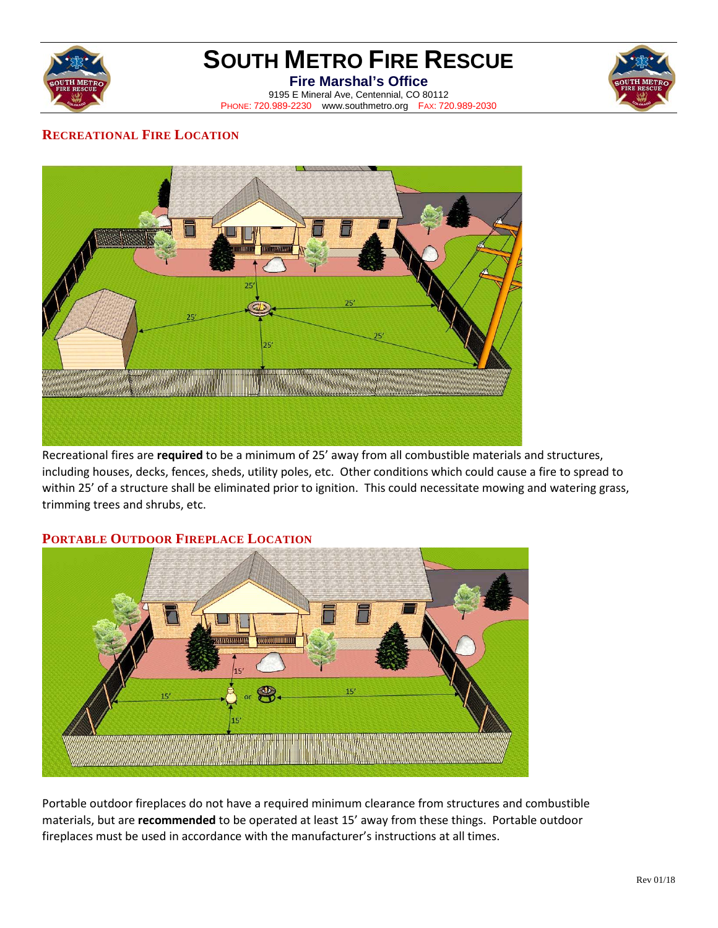

# **SOUTH METRO FIRE RESCUE**

**Fire Marshal's Office** 9195 E Mineral Ave, Centennial, CO 80112 PHONE: 720.989-2230 www.southmetro.org FAX: 720.989-2030



#### **RECREATIONAL FIRE LOCATION**



Recreational fires are **required** to be a minimum of 25' away from all combustible materials and structures, including houses, decks, fences, sheds, utility poles, etc. Other conditions which could cause a fire to spread to within 25' of a structure shall be eliminated prior to ignition. This could necessitate mowing and watering grass, trimming trees and shrubs, etc.

#### **PORTABLE OUTDOOR FIREPLACE LOCATION**



Portable outdoor fireplaces do not have a required minimum clearance from structures and combustible materials, but are **recommended** to be operated at least 15' away from these things. Portable outdoor fireplaces must be used in accordance with the manufacturer's instructions at all times.